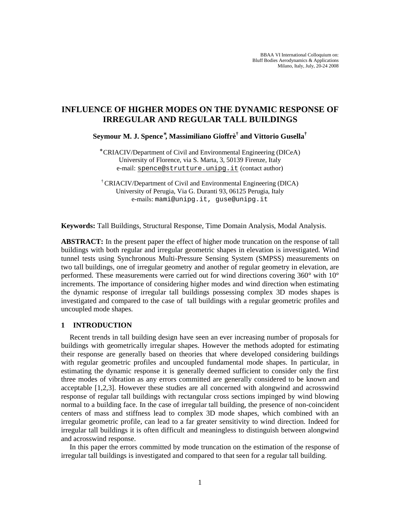BBAA VI International Colloquium on: Bluff Bodies Aerodynamics & Applications Milano, Italy, July, 20-24 2008

# **INFLUENCE OF HIGHER MODES ON THE DYNAMIC RESPONSE OF IRREGULAR AND REGULAR TALL BUILDINGS**

**Seymour M. J. Spence\* , Massimiliano Gioffrè† and Vittorio Gusella†**

∗ CRIACIV/Department of Civil and Environmental Engineering (DICeA) University of Florence, via S. Marta, 3, 50139 Firenze, Italy e-mail: [spence@strutture.unipg.it](mailto:spence@strutture.unipg.it) (contact author)

† CRIACIV/Department of Civil and Environmental Engineering (DICA) University of Perugia, Via G. Duranti 93, 06125 Perugia, Italy e-mails: mami@unipg.it, guse@unipg.it

**Keywords:** Tall Buildings, Structural Response, Time Domain Analysis, Modal Analysis.

**ABSTRACT:** In the present paper the effect of higher mode truncation on the response of tall buildings with both regular and irregular geometric shapes in elevation is investigated. Wind tunnel tests using Synchronous Multi-Pressure Sensing System (SMPSS) measurements on two tall buildings, one of irregular geometry and another of regular geometry in elevation, are performed. These measurements were carried out for wind directions covering 360° with 10° increments. The importance of considering higher modes and wind direction when estimating the dynamic response of irregular tall buildings possessing complex 3D modes shapes is investigated and compared to the case of tall buildings with a regular geometric profiles and uncoupled mode shapes.

# **1 INTRODUCTION**

Recent trends in tall building design have seen an ever increasing number of proposals for buildings with geometrically irregular shapes. However the methods adopted for estimating their response are generally based on theories that where developed considering buildings with regular geometric profiles and uncoupled fundamental mode shapes. In particular, in estimating the dynamic response it is generally deemed sufficient to consider only the first three modes of vibration as any errors committed are generally considered to be known and acceptable [1,2,3]. However these studies are all concerned with alongwind and acrosswind response of regular tall buildings with rectangular cross sections impinged by wind blowing normal to a building face. In the case of irregular tall building, the presence of non-coincident centers of mass and stiffness lead to complex 3D mode shapes, which combined with an irregular geometric profile, can lead to a far greater sensitivity to wind direction. Indeed for irregular tall buildings it is often difficult and meaningless to distinguish between alongwind and acrosswind response.

In this paper the errors committed by mode truncation on the estimation of the response of irregular tall buildings is investigated and compared to that seen for a regular tall building.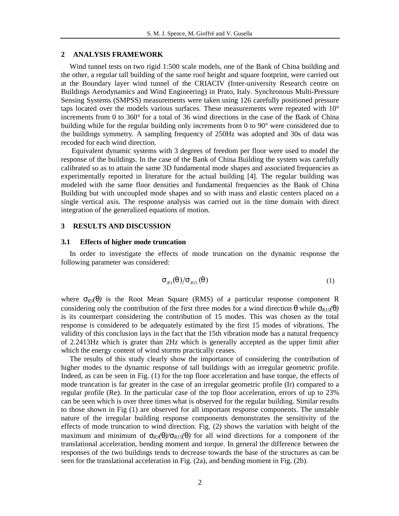### **2 ANALYSIS FRAMEWORK**

Wind tunnel tests on two rigid 1:500 scale models, one of the Bank of China building and the other, a regular tall building of the same roof height and square footprint, were carried out at the Boundary layer wind tunnel of the CRIACIV (Inter-university Research centre on Buildings Aerodynamics and Wind Engineering) in Prato, Italy. Synchronous Multi-Pressure Sensing Systems (SMPSS) measurements were taken using 126 carefully positioned pressure taps located over the models various surfaces. These measurements were repeated with 10° increments from 0 to 360° for a total of 36 wind directions in the case of the Bank of China building while for the regular building only increments from 0 to 90° were considered due to the buildings symmetry. A sampling frequency of 250Hz was adopted and 30s of data was recoded for each wind direction.

Equivalent dynamic systems with 3 degrees of freedom per floor were used to model the response of the buildings. In the case of the Bank of China Building the system was carefully calibrated so as to attain the same 3D fundamental mode shapes and associated frequencies as experimentally reported in literature for the actual building [4]. The regular building was modeled with the same floor densities and fundamental frequencies as the Bank of China Building but with uncoupled mode shapes and so with mass and elastic centers placed on a single vertical axis. The response analysis was carried out in the time domain with direct integration of the generalized equations of motion.

### **3 RESULTS AND DISCUSSION**

#### **3.1 Effects of higher mode truncation**

In order to investigate the effects of mode truncation on the dynamic response the following parameter was considered:

$$
\mathbf{S}_{R3}(q)/\mathbf{S}_{R15}(q) \tag{1}
$$

where  $S_{R3}(q)$  is the Root Mean Square (RMS) of a particular response component R considering only the contribution of the first three modes for a wind direction  $\theta$  while  $S_{R15}(q)$ is its counterpart considering the contribution of 15 modes. This was chosen as the total response is considered to be adequately estimated by the first 15 modes of vibrations. The validity of this conclusion lays in the fact that the 15th vibration mode has a natural frequency of 2.2413Hz which is grater than 2Hz which is generally accepted as the upper limit after which the energy content of wind storms practically ceases.

The results of this study clearly show the importance of considering the contribution of higher modes to the dynamic response of tall buildings with an irregular geometric profile. Indeed, as can be seen in Fig. (1) for the top floor acceleration and base torque, the effects of mode truncation is far greater in the case of an irregular geometric profile (Ir) compared to a regular profile (Re). In the particular case of the top floor acceleration, errors of up to 23% can be seen which is over three times what is observed for the regular building. Similar results to those shown in Fig (1) are observed for all important response components. The unstable nature of the irregular building response components demonstrates the sensitivity of the effects of mode truncation to wind direction. Fig. (2) shows the variation with height of the maximum and minimum of  $S_{R3}(q)/S_{R15}(q)$  for all wind directions for a component of the translational acceleration, bending moment and torque. In general the difference between the responses of the two buildings tends to decrease towards the base of the structures as can be seen for the translational acceleration in Fig. (2a), and bending moment in Fig. (2b).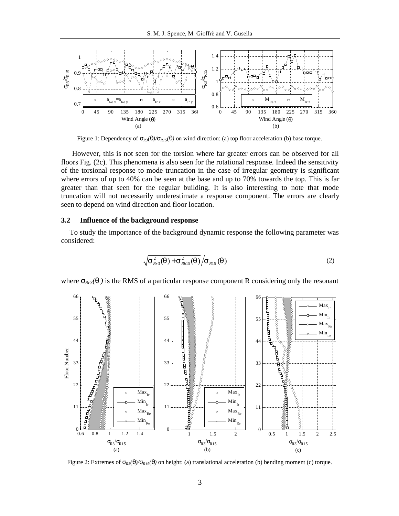

Figure 1: Dependency of  $S_{R3}(q)/S_{R15}(q)$  on wind direction: (a) top floor acceleration (b) base torque.

However, this is not seen for the torsion where far greater errors can be observed for all floors Fig. (2c). This phenomena is also seen for the rotational response. Indeed the sensitivity of the torsional response to mode truncation in the case of irregular geometry is significant where errors of up to 40% can be seen at the base and up to 70% towards the top. This is far greater than that seen for the regular building. It is also interesting to note that mode truncation will not necessarily underestimate a response component. The errors are clearly seen to depend on wind direction and floor location.

#### **3.2 Influence of the background response**

To study the importance of the background dynamic response the following parameter was considered:

$$
\sqrt{\mathbf{S}_{Rr3}^2(q) + \mathbf{S}_{Rb15}^2(q)}/\mathbf{S}_{R15}(q)
$$
\n(2)

where  $S_{Rr3}(q)$  is the RMS of a particular response component R considering only the resonant



Figure 2: Extremes of  $S_{R3}(q)/S_{R15}(q)$  on height: (a) translational acceleration (b) bending moment (c) torque.